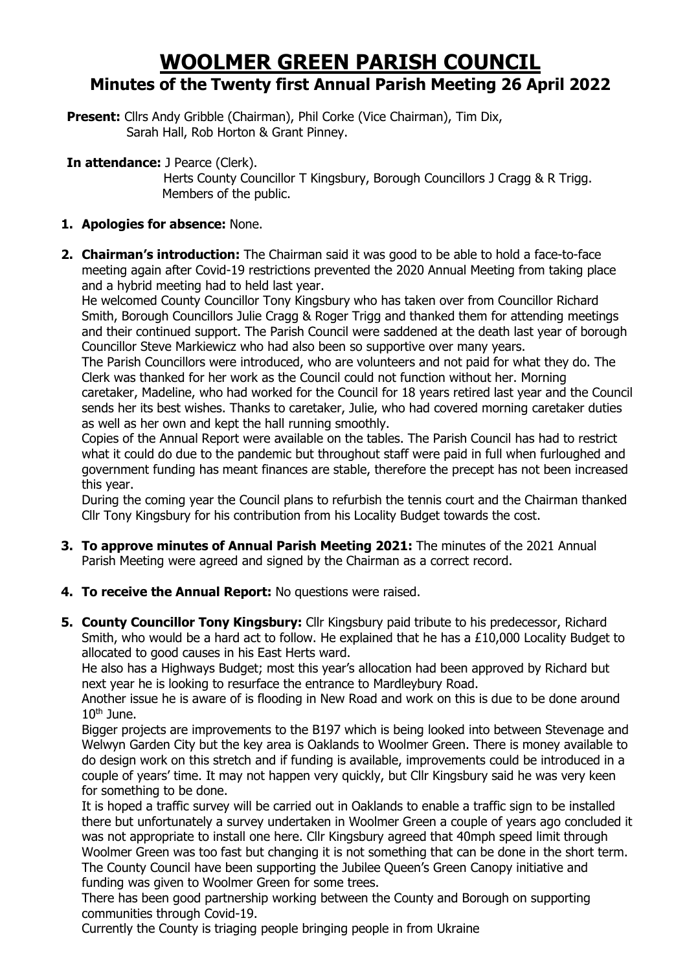## **WOOLMER GREEN PARISH COUNCIL Minutes of the Twenty first Annual Parish Meeting 26 April 2022**

**Present:** Cllrs Andy Gribble (Chairman), Phil Corke (Vice Chairman), Tim Dix, Sarah Hall, Rob Horton & Grant Pinney.

**In attendance:** J Pearce (Clerk).

Herts County Councillor T Kingsbury, Borough Councillors J Cragg & R Trigg. Members of the public.

## **1. Apologies for absence:** None.

**2. Chairman's introduction:** The Chairman said it was good to be able to hold a face-to-face meeting again after Covid-19 restrictions prevented the 2020 Annual Meeting from taking place and a hybrid meeting had to held last year.

He welcomed County Councillor Tony Kingsbury who has taken over from Councillor Richard Smith, Borough Councillors Julie Cragg & Roger Trigg and thanked them for attending meetings and their continued support. The Parish Council were saddened at the death last year of borough Councillor Steve Markiewicz who had also been so supportive over many years.

The Parish Councillors were introduced, who are volunteers and not paid for what they do. The Clerk was thanked for her work as the Council could not function without her. Morning caretaker, Madeline, who had worked for the Council for 18 years retired last year and the Council sends her its best wishes. Thanks to caretaker, Julie, who had covered morning caretaker duties as well as her own and kept the hall running smoothly.

Copies of the Annual Report were available on the tables. The Parish Council has had to restrict what it could do due to the pandemic but throughout staff were paid in full when furloughed and government funding has meant finances are stable, therefore the precept has not been increased this year.

During the coming year the Council plans to refurbish the tennis court and the Chairman thanked Cllr Tony Kingsbury for his contribution from his Locality Budget towards the cost.

- **3. To approve minutes of Annual Parish Meeting 2021:** The minutes of the 2021 Annual Parish Meeting were agreed and signed by the Chairman as a correct record.
- **4. To receive the Annual Report:** No questions were raised.
- **5. County Councillor Tony Kingsbury:** Cllr Kingsbury paid tribute to his predecessor, Richard Smith, who would be a hard act to follow. He explained that he has a  $£10,000$  Locality Budget to allocated to good causes in his East Herts ward.

He also has a Highways Budget; most this year's allocation had been approved by Richard but next year he is looking to resurface the entrance to Mardleybury Road.

Another issue he is aware of is flooding in New Road and work on this is due to be done around  $10<sup>th</sup>$  June.

Bigger projects are improvements to the B197 which is being looked into between Stevenage and Welwyn Garden City but the key area is Oaklands to Woolmer Green. There is money available to do design work on this stretch and if funding is available, improvements could be introduced in a couple of years' time. It may not happen very quickly, but Cllr Kingsbury said he was very keen for something to be done.

It is hoped a traffic survey will be carried out in Oaklands to enable a traffic sign to be installed there but unfortunately a survey undertaken in Woolmer Green a couple of years ago concluded it was not appropriate to install one here. Cllr Kingsbury agreed that 40mph speed limit through Woolmer Green was too fast but changing it is not something that can be done in the short term. The County Council have been supporting the Jubilee Queen's Green Canopy initiative and funding was given to Woolmer Green for some trees.

There has been good partnership working between the County and Borough on supporting communities through Covid-19.

Currently the County is triaging people bringing people in from Ukraine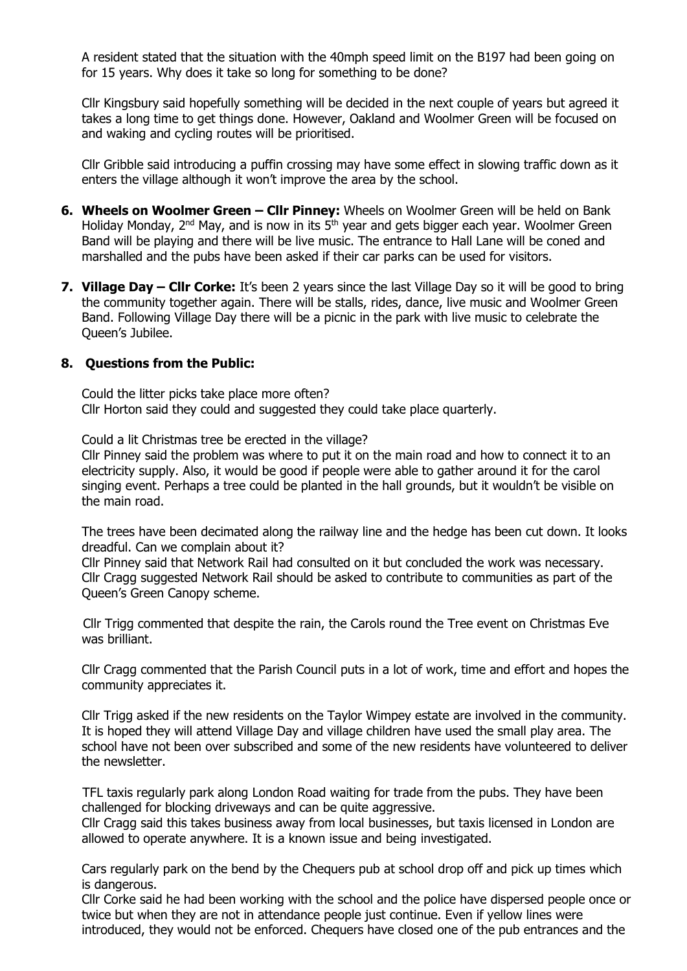A resident stated that the situation with the 40mph speed limit on the B197 had been going on for 15 years. Why does it take so long for something to be done?

Cllr Kingsbury said hopefully something will be decided in the next couple of years but agreed it takes a long time to get things done. However, Oakland and Woolmer Green will be focused on and waking and cycling routes will be prioritised.

Cllr Gribble said introducing a puffin crossing may have some effect in slowing traffic down as it enters the village although it won't improve the area by the school.

- **6. Wheels on Woolmer Green – Cllr Pinney:** Wheels on Woolmer Green will be held on Bank Holiday Monday, 2<sup>nd</sup> May, and is now in its 5<sup>th</sup> year and gets bigger each year. Woolmer Green Band will be playing and there will be live music. The entrance to Hall Lane will be coned and marshalled and the pubs have been asked if their car parks can be used for visitors.
- **7. Village Day – Cllr Corke:** It's been 2 years since the last Village Day so it will be good to bring the community together again. There will be stalls, rides, dance, live music and Woolmer Green Band. Following Village Day there will be a picnic in the park with live music to celebrate the Queen's Jubilee.

## **8. Questions from the Public:**

Could the litter picks take place more often? Cllr Horton said they could and suggested they could take place quarterly.

Could a lit Christmas tree be erected in the village?

Cllr Pinney said the problem was where to put it on the main road and how to connect it to an electricity supply. Also, it would be good if people were able to gather around it for the carol singing event. Perhaps a tree could be planted in the hall grounds, but it wouldn't be visible on the main road.

The trees have been decimated along the railway line and the hedge has been cut down. It looks dreadful. Can we complain about it?

Cllr Pinney said that Network Rail had consulted on it but concluded the work was necessary. Cllr Cragg suggested Network Rail should be asked to contribute to communities as part of the Queen's Green Canopy scheme.

 Cllr Trigg commented that despite the rain, the Carols round the Tree event on Christmas Eve was brilliant.

Cllr Cragg commented that the Parish Council puts in a lot of work, time and effort and hopes the community appreciates it.

Cllr Trigg asked if the new residents on the Taylor Wimpey estate are involved in the community. It is hoped they will attend Village Day and village children have used the small play area. The school have not been over subscribed and some of the new residents have volunteered to deliver the newsletter.

TFL taxis regularly park along London Road waiting for trade from the pubs. They have been challenged for blocking driveways and can be quite aggressive.

Cllr Cragg said this takes business away from local businesses, but taxis licensed in London are allowed to operate anywhere. It is a known issue and being investigated.

Cars regularly park on the bend by the Chequers pub at school drop off and pick up times which is dangerous.

Cllr Corke said he had been working with the school and the police have dispersed people once or twice but when they are not in attendance people just continue. Even if yellow lines were introduced, they would not be enforced. Chequers have closed one of the pub entrances and the